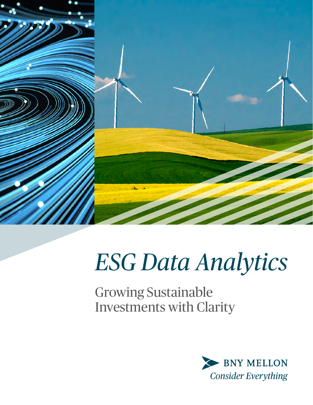

# *ESG Data Analytics*

Growing Sustainable Investments with Clarity

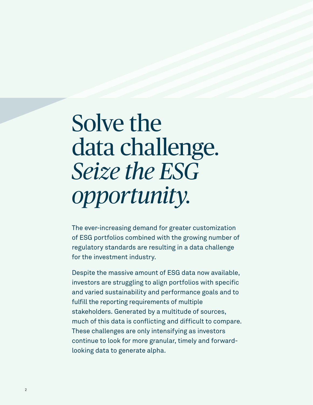## Solve the data challenge. *Seize the ESG opportunity.*

The ever-increasing demand for greater customization of ESG portfolios combined with the growing number of regulatory standards are resulting in a data challenge for the investment industry.

Despite the massive amount of ESG data now available, investors are struggling to align portfolios with specific and varied sustainability and performance goals and to fulfill the reporting requirements of multiple stakeholders. Generated by a multitude of sources, much of this data is conflicting and difficult to compare. These challenges are only intensifying as investors continue to look for more granular, timely and forwardlooking data to generate alpha.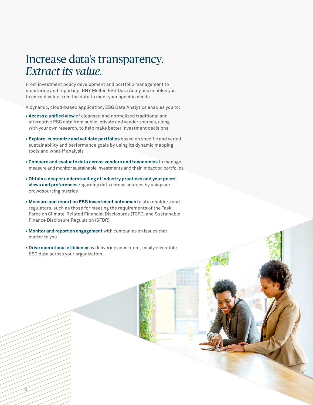### Increase data's transparency. *Extract its value.*

From investment policy development and portfolio management to monitoring and reporting, BNY Mellon ESG Data Analytics enables you to extract value from the data to meet your specific needs.

A dynamic, cloud-based application, ESG Data Analytics enables you to:

- **Access a unified view** of cleansed and normalized traditional and alternative ESG data from public, private and vendor sources, along with your own research, to help make better investment decisions
- **Explore, customize and validate portfolios** based on specific and varied sustainability and performance goals by using its dynamic mapping tools and what-if analysis
- **Compare and evaluate data across vendors and taxonomies** to manage, measure and monitor sustainable investments and their impact on portfolios
- **Obtain a deeper understanding of industry practices and your peers' views and preferences** regarding data across sources by using our crowdsourcing metrics
- **Measure and report on ESG investment outcomes** to stakeholders and regulators, such as those for meeting the requirements of the Task Force on Climate-Related Financial Disclosures (TCFD) and Sustainable Finance Disclosure Regulation (SFDR).
- **Monitor and report on engagement** with companies on issues that matter to you

3

**• Drive operational efficiency** by delivering consistent, easily digestible ESG data across your organization.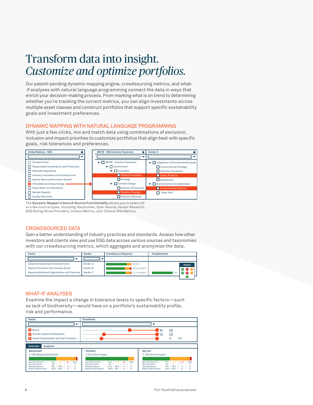### Transform data into insight. *Customize and optimize portfolios.*

Our patent-pending dynamic mapping engine, crowdsourcing metrics, and what if analyses with natural language programming connect the data in ways that enrich your decision-making process. From marking what is on trend to determining whether you're tracking the correct metrics, you can align investments across multiple asset classes and construct portfolios that support specific sustainability goals and investment preferences.

#### DYNAMIC MAPPING WITH NATURAL LANGUAGE PROGRAMMING

With just a few clicks, mix and match data using combinations of exclusion, inclusion and impact priorities to customize portfolios that align best with specific goals, risk tolerances and preferences.



The Dynamic Mapper's Search Source Functionality allows you to select all or a few source types, including *Taxonomies, Open Source, Vendor Research,*  $\mathsf{ESG}$  Rating/Score Providers, Carbon Metrics, and Climate Risk Metrics.

#### CROWDSOURCED DATA

Gender Equality  $\overline{\mathbf{F}}$  Pollution (Energy) n a better understanding of industry practices and standards. Assess Industry, Innovation and Infrastructure investors and clients view and use ESG data across various sources and taxonomies Affordable and Clean Energy practices and standards. Assess how Climate Change h aggregate and anonymize the data. Gain a better understanding of industry practices and standards. Assess how other with our crowdsourcing metrics, which aggregate and anonymize the data. **+ +**

| Factor                                       | Vendor   | <b>Crowdsource Response</b> | <b>Completeness</b> |                          |
|----------------------------------------------|----------|-----------------------------|---------------------|--------------------------|
|                                              |          |                             |                     |                          |
| Corporate Governance Domain Score            | Vendor A | 80/20/0                     |                     | Action                   |
| Board of Directors Sub-Domain Score          | Vendor B | 69.31/20.79/9/9             |                     | $\bigoplus$ $\bigotimes$ |
| Responsible Board Organization and Practices | Vendor C | 77.14/14.29/8.57            | 100                 | œ                        |
|                                              |          |                             |                     | (+                       |

### WHAT-IF ANALYSES

Examine the impact a change in tolerance levels to specific factors—such risk and performance. 64 100 as lack of biodiversity—would have on a portfolio's sustainability profile, odiversityuld have a portfolio stainabil , profile.  $\mathbb{P}^{\mathcal{C}}$  .  $\mathcal{C}^{\mathcal{C}}$ 

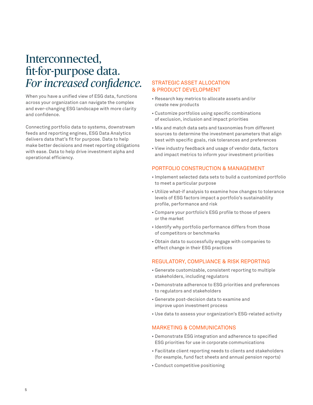### Interconnected, fit-for-purpose data. *For increased confidence.*

When you have a unified view of ESG data, functions across your organization can navigate the complex and ever-changing ESG landscape with more clarity and confidence.

Connecting portfolio data to systems, downstream feeds and reporting engines, ESG Data Analytics delivers data that's fit for purpose. Data to help make better decisions and meet reporting obligations with ease. Data to help drive investment alpha and operational efficiency.

#### STRATEGIC ASSET ALLOCATION & PRODUCT DEVELOPMENT

- Research key metrics to allocate assets and/or create new products
- Customize portfolios using specific combinations of exclusion, inclusion and impact priorities
- Mix and match data sets and taxonomies from different sources to determine the investment parameters that align best with specific goals, risk tolerances and preferences
- View industry feedback and usage of vendor data, factors and impact metrics to inform your investment priorities

#### PORTFOLIO CONSTRUCTION & MANAGEMENT

- Implement selected data sets to build a customized portfolio to meet a particular purpose
- Utilize what-if analysis to examine how changes to tolerance levels of ESG factors impact a portfolio's sustainability profile, performance and risk
- Compare your portfolio's ESG profile to those of peers or the market
- Identify why portfolio performance differs from those of competitors or benchmarks
- Obtain data to successfully engage with companies to effect change in their ESG practices

### REGULATORY, COMPLIANCE & RISK REPORTING

- Generate customizable, consistent reporting to multiple stakeholders, including regulators
- Demonstrate adherence to ESG priorities and preferences to regulators and stakeholders
- Generate post-decision data to examine and improve upon investment process
- Use data to assess your organization's ESG-related activity

### MARKETING & COMMUNICATIONS

- Demonstrate ESG integration and adherence to specified ESG priorities for use in corporate communications
- Facilitate client reporting needs to clients and stakeholders (for example, fund fact sheets and annual pension reports)
- Conduct competitive positioning